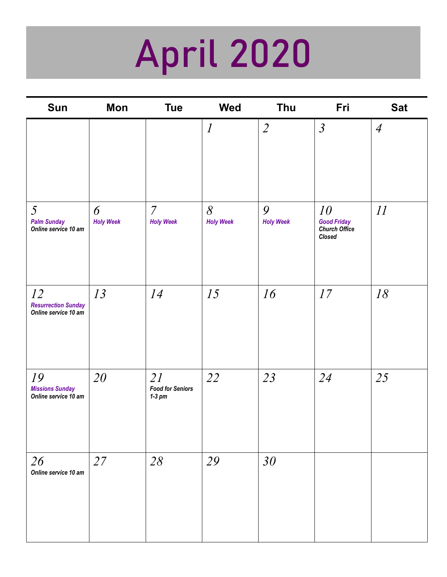## April 2020

| <b>Sun</b>                                                   | Mon                   | <b>Tue</b>                                | <b>Wed</b>                   | Thu                   | Fri                                                        | <b>Sat</b>     |
|--------------------------------------------------------------|-----------------------|-------------------------------------------|------------------------------|-----------------------|------------------------------------------------------------|----------------|
|                                                              |                       |                                           | $\boldsymbol{l}$             | $\overline{2}$        | $\mathfrak{Z}$                                             | $\overline{A}$ |
| $\mathfrak{H}$<br><b>Palm Sunday</b><br>Online service 10 am | 6<br><b>Holy Week</b> | $\overline{7}$<br><b>Holy Week</b>        | $\delta$<br><b>Holy Week</b> | 9<br><b>Holy Week</b> | 10<br><b>Good Friday</b><br><b>Church Office</b><br>Closed | II             |
| 12<br><b>Resurrection Sunday</b><br>Online service 10 am     | 13                    | 14                                        | 15                           | 16                    | 17                                                         | 18             |
| 19<br><b>Missions Sunday</b><br>Online service 10 am         | 20                    | 2I<br><b>Food for Seniors</b><br>$1-3$ pm | 22                           | 23                    | 24                                                         | 25             |
| 26<br>Online service 10 am                                   | 27                    | 28                                        | 29                           | 30                    |                                                            |                |